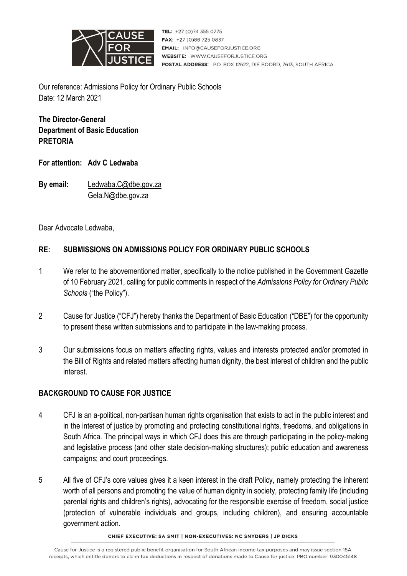

TEL: +27 (0)74 355 0775 FAX: +27 (0)86 725 0837 **EMAIL: INFO@CAUSEFORJUSTICE.ORG WEBSITE:** WWW.CAUSEFORJUSTICE.ORG POSTAL ADDRESS: P.O. BOX 12622, DIE BOORD, 7613, SOUTH AFRICA

Our reference: Admissions Policy for Ordinary Public Schools Date: 12 March 2021

# **The Director-General Department of Basic Education PRETORIA**

- **For attention: Adv C Ledwaba**
- **By email:** [Ledwaba.C@dbe.gov.za](mailto:Ledwaba.C@dbe.gov.za) Gela.N@dbe,gov.za

Dear Advocate Ledwaba,

## **RE: SUBMISSIONS ON ADMISSIONS POLICY FOR ORDINARY PUBLIC SCHOOLS**

- 1 We refer to the abovementioned matter, specifically to the notice published in the Government Gazette of 10 February 2021, calling for public comments in respect of the *Admissions Policy for Ordinary Public Schools* ("the Policy").
- 2 Cause for Justice ("CFJ") hereby thanks the Department of Basic Education ("DBE") for the opportunity to present these written submissions and to participate in the law-making process.
- 3 Our submissions focus on matters affecting rights, values and interests protected and/or promoted in the Bill of Rights and related matters affecting human dignity, the best interest of children and the public interest.

#### **BACKGROUND TO CAUSE FOR JUSTICE**

- 4 CFJ is an a-political, non-partisan human rights organisation that exists to act in the public interest and in the interest of justice by promoting and protecting constitutional rights, freedoms, and obligations in South Africa. The principal ways in which CFJ does this are through participating in the policy-making and legislative process (and other state decision-making structures); public education and awareness campaigns; and court proceedings.
- 5 All five of CFJ's core values gives it a keen interest in the draft Policy, namely protecting the inherent worth of all persons and promoting the value of human dignity in society, protecting family life (including parental rights and children's rights), advocating for the responsible exercise of freedom, social justice (protection of vulnerable individuals and groups, including children), and ensuring accountable government action.

#### CHIEF EXECUTIVE: SA SMIT | NON-EXECUTIVES: NC SNYDERS | JP DICKS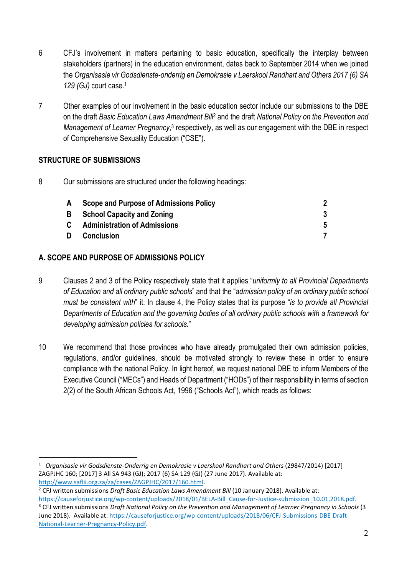- 6 CFJ's involvement in matters pertaining to basic education, specifically the interplay between stakeholders (partners) in the education environment, dates back to September 2014 when we joined the *Organisasie vir Godsdienste-onderrig en Demokrasie v Laerskool Randhart and Others 2017 (6) SA 129 (GJ)* court case. 1
- 7 Other examples of our involvement in the basic education sector include our submissions to the DBE on the draft *Basic Education Laws Amendment Bill*<sup>2</sup> and the draft *National Policy on the Prevention and* Management of Learner Pregnancy,<sup>3</sup> respectively, as well as our engagement with the DBE in respect of Comprehensive Sexuality Education ("CSE").

## **STRUCTURE OF SUBMISSIONS**

8 Our submissions are structured under the following headings:

| A            | Scope and Purpose of Admissions Policy |  |
|--------------|----------------------------------------|--|
| B.           | <b>School Capacity and Zoning</b>      |  |
| $\mathbf{C}$ | <b>Administration of Admissions</b>    |  |
| D            | <b>Conclusion</b>                      |  |

# **A. SCOPE AND PURPOSE OF ADMISSIONS POLICY**

- 9 Clauses 2 and 3 of the Policy respectively state that it applies "*uniformly to all Provincial Departments of Education and all ordinary public schools*" and that the "*admission policy of an ordinary public school must be consistent with*" it. In clause 4, the Policy states that its purpose "*is to provide all Provincial Departments of Education and the governing bodies of all ordinary public schools with a framework for developing admission policies for schools.*"
- 10 We recommend that those provinces who have already promulgated their own admission policies, regulations, and/or guidelines, should be motivated strongly to review these in order to ensure compliance with the national Policy. In light hereof, we request national DBE to inform Members of the Executive Council ("MECs") and Heads of Department ("HODs") of their responsibility in terms of section 2(2) of the South African Schools Act, 1996 ("Schools Act"), which reads as follows:

<sup>1</sup> *Organisasie vir Godsdienste-Onderrig en Demokrasie v Laerskool Randhart and Others* (29847/2014) [2017] ZAGPJHC 160; [2017] 3 All SA 943 (GJ); 2017 (6) SA 129 (GJ) (27 June 2017). Available at: [http://www.saflii.org.za/za/cases/ZAGPJHC/2017/160.html.](http://www.saflii.org.za/za/cases/ZAGPJHC/2017/160.html)

<sup>2</sup> CFJ written submissions *Draft Basic Education Laws Amendment Bill* (10 January 2018). Available at: [https://causeforjustice.org/wp-content/uploads/2018/01/BELA-Bill\\_Cause-for-Justice-submission\\_10.01.2018.pdf.](https://causeforjustice.org/wp-content/uploads/2018/01/BELA-Bill_Cause-for-Justice-submission_10.01.2018.pdf)

<sup>3</sup> CFJ written submissions *Draft National Policy on the Prevention and Management of Learner Pregnancy in Schools* (3 June 2018). Available at: [https://causeforjustice.org/wp-content/uploads/2018/06/CFJ-Submissions-DBE-Draft-](https://causeforjustice.org/wp-content/uploads/2018/06/CFJ-Submissions-DBE-Draft-National-Learner-Pregnancy-Policy.pdf)[National-Learner-Pregnancy-Policy.pdf.](https://causeforjustice.org/wp-content/uploads/2018/06/CFJ-Submissions-DBE-Draft-National-Learner-Pregnancy-Policy.pdf)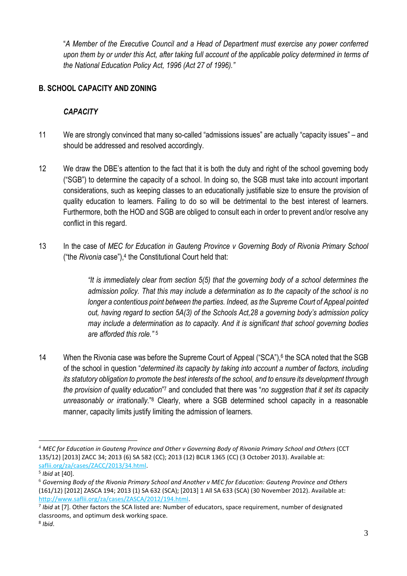"*A Member of the Executive Council and a Head of Department must exercise any power conferred* upon them by or under this Act, after taking full account of the applicable policy determined in terms of *the National Education Policy Act, 1996 (Act 27 of 1996)."*

# **B. SCHOOL CAPACITY AND ZONING**

## *CAPACITY*

- 11 We are strongly convinced that many so-called "admissions issues" are actually "capacity issues" and should be addressed and resolved accordingly.
- 12 We draw the DBE's attention to the fact that it is both the duty and right of the school governing body ("SGB") to determine the capacity of a school. In doing so, the SGB must take into account important considerations, such as keeping classes to an educationally justifiable size to ensure the provision of quality education to learners. Failing to do so will be detrimental to the best interest of learners. Furthermore, both the HOD and SGB are obliged to consult each in order to prevent and/or resolve any conflict in this regard.
- 13 In the case of *MEC for Education in Gauteng Province v Governing Body of Rivonia Primary School* ("the Rivonia case"),<sup>4</sup> the Constitutional Court held that:

*"It is immediately clear from section 5(5) that the governing body of a school determines the admission policy. That this may include a determination as to the capacity of the school is no longer a contentious point between the parties. Indeed, as the Supreme Court of Appeal pointed out, having regard to section 5A(3) of the Schools Act,28 a governing body's admission policy may include a determination as to capacity. And it is significant that school governing bodies are afforded this role."* 5

14 When the Rivonia case was before the Supreme Court of Appeal ("SCA"),<sup>6</sup> the SCA noted that the SGB of the school in question "*determined its capacity by taking into account a number of factors, including* its statutory obligation to promote the best interests of the school, and to ensure its development through *the provision of quality education*" <sup>7</sup> and concluded that there was "*no suggestion that it set its capacity unreasonably or irrationally.*" <sup>8</sup> Clearly, where a SGB determined school capacity in a reasonable manner, capacity limits justify limiting the admission of learners.

<sup>&</sup>lt;sup>4</sup> MEC for Education in Gauteng Province and Other v Governing Body of Rivonia Primary School and Others (CCT 135/12) [2013] ZACC 34; 2013 (6) SA 582 (CC); 2013 (12) BCLR 1365 (CC) (3 October 2013). Available at: [saflii.org/za/cases/ZACC/2013/34.html.](saflii.org/za/cases/ZACC/2013/34.html)

<sup>5</sup> *Ibid* at [40].

<sup>&</sup>lt;sup>6</sup> Governing Body of the Rivonia Primary School and Another v MEC for Education: Gauteng Province and Others (161/12) [2012] ZASCA 194; 2013 (1) SA 632 (SCA); [2013] 1 All SA 633 (SCA) (30 November 2012). Available at: [http://www.saflii.org/za/cases/ZASCA/2012/194.html.](http://www.saflii.org/za/cases/ZASCA/2012/194.html)

<sup>7</sup> *Ibid* at [7]. Other factors the SCA listed are: Number of educators, space requirement, number of designated classrooms, and optimum desk working space.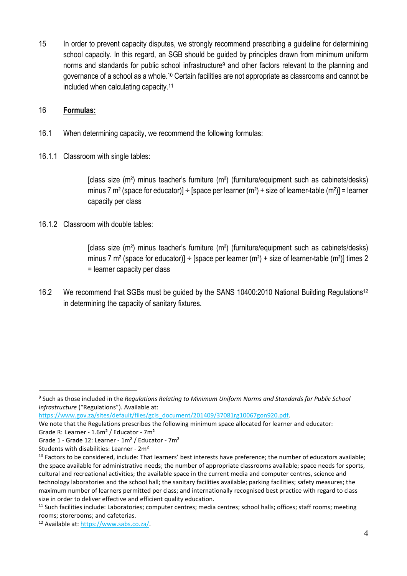15 In order to prevent capacity disputes, we strongly recommend prescribing a guideline for determining school capacity. In this regard, an SGB should be guided by principles drawn from minimum uniform norms and standards for public school infrastructure<sup>9</sup> and other factors relevant to the planning and governance of a school as a whole. <sup>10</sup> Certain facilities are not appropriate as classrooms and cannot be included when calculating capacity.<sup>11</sup>

#### 16 **Formulas:**

- 16.1 When determining capacity, we recommend the following formulas:
- 16.1.1 Classroom with single tables:

[class size (m²) minus teacher's furniture (m²) (furniture/equipment such as cabinets/desks) minus 7 m<sup>2</sup> (space for educator)] ÷ [space per learner (m<sup>2</sup>) + size of learner-table (m<sup>2</sup>)] = learner capacity per class

16.1.2 Classroom with double tables:

 $[class size (m<sup>2</sup>)$  minus teacher's furniture  $(m<sup>2</sup>)$  (furniture/equipment such as cabinets/desks) minus 7 m<sup>2</sup> (space for educator)]  $\div$  [space per learner (m<sup>2</sup>) + size of learner-table (m<sup>2</sup>)] times 2 = learner capacity per class

16.2 We recommend that SGBs must be guided by the SANS 10400:2010 National Building Regulations<sup>12</sup> in determining the capacity of sanitary fixtures.

<sup>9</sup> Such as those included in the *Regulations Relating to Minimum Uniform Norms and Standards for Public School Infrastructure* ("Regulations"). Available at:

[https://www.gov.za/sites/default/files/gcis\\_document/201409/37081rg10067gon920.pdf.](https://www.gov.za/sites/default/files/gcis_document/201409/37081rg10067gon920.pdf)

We note that the Regulations prescribes the following minimum space allocated for learner and educator: Grade R: Learner - 1.6m² / Educator - 7m²

Grade 1 - Grade 12: Learner - 1m² / Educator - 7m²

Students with disabilities: Learner - 2m²

 $10$  Factors to be considered, include: That learners' best interests have preference; the number of educators available; the space available for administrative needs; the number of appropriate classrooms available; space needs for sports, cultural and recreational activities; the available space in the current media and computer centres, science and technology laboratories and the school hall; the sanitary facilities available; parking facilities; safety measures; the maximum number of learners permitted per class; and internationally recognised best practice with regard to class size in order to deliver effective and efficient quality education.

 $11$  Such facilities include: Laboratories; computer centres; media centres; school halls; offices; staff rooms; meeting rooms; storerooms; and cafeterias.

<sup>12</sup> Available at: [https://www.sabs.co.za/.](https://www.sabs.co.za/)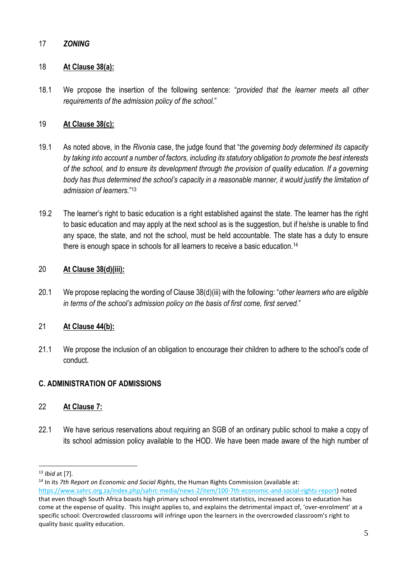## 17 *ZONING*

## 18 **At Clause 38(a):**

18.1 We propose the insertion of the following sentence: "*provided that the learner meets all other requirements of the admission policy of the school.*"

# 19 **At Clause 38(c):**

- 19.1 As noted above, in the *Rivonia* case, the judge found that "*the governing body determined its capacity* by taking into account a number of factors, including its statutory obligation to promote the best interests *of the school, and to ensure its development through the provision of quality education. If a governing body has thus determined the school's capacity in a reasonable manner, it would justify the limitation of admission of learners.*" 13
- 19.2 The learner's right to basic education is a right established against the state. The learner has the right to basic education and may apply at the next school as is the suggestion, but if he/she is unable to find any space, the state, and not the school, must be held accountable. The state has a duty to ensure there is enough space in schools for all learners to receive a basic education.<sup>14</sup>

## 20 **At Clause 38(d)(iii):**

20.1 We propose replacing the wording of Clause 38(d)(iii) with the following: "*other learners who are eligible in terms of the school's admission policy on the basis of first come, first served.*"

# 21 **At Clause 44(b):**

21.1 We propose the inclusion of an obligation to encourage their children to adhere to the school's code of conduct.

# **C. ADMINISTRATION OF ADMISSIONS**

# 22 **At Clause 7:**

22.1 We have serious reservations about requiring an SGB of an ordinary public school to make a copy of its school admission policy available to the HOD. We have been made aware of the high number of

<sup>13</sup> *Ibid* at [7].

<sup>14</sup> In its *7th Report on Economic and Social Rights*, the Human Rights Commission (available at: [https://www.sahrc.org.za/index.php/sahrc-media/news-2/item/100-7th-economic-and-social-rights-report\)](https://www.sahrc.org.za/index.php/sahrc-media/news-2/item/100-7th-economic-and-social-rights-report) noted that even though South Africa boasts high primary school enrolment statistics, increased access to education has come at the expense of quality. This insight applies to, and explains the detrimental impact of, 'over-enrolment' at a specific school: Overcrowded classrooms will infringe upon the learners in the overcrowded classroom's right to quality basic quality education.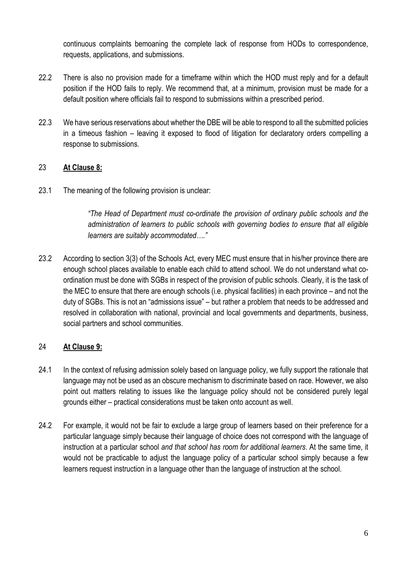continuous complaints bemoaning the complete lack of response from HODs to correspondence, requests, applications, and submissions.

- 22.2 There is also no provision made for a timeframe within which the HOD must reply and for a default position if the HOD fails to reply. We recommend that, at a minimum, provision must be made for a default position where officials fail to respond to submissions within a prescribed period.
- 22.3 We have serious reservations about whether the DBE will be able to respond to all the submitted policies in a timeous fashion – leaving it exposed to flood of litigation for declaratory orders compelling a response to submissions.

#### 23 **At Clause 8:**

23.1 The meaning of the following provision is unclear:

*"The Head of Department must co-ordinate the provision of ordinary public schools and the administration of learners to public schools with governing bodies to ensure that all eligible learners are suitably accommodated…."*

23.2 According to section 3(3) of the Schools Act, every MEC must ensure that in his/her province there are enough school places available to enable each child to attend school. We do not understand what coordination must be done with SGBs in respect of the provision of public schools. Clearly, it is the task of the MEC to ensure that there are enough schools (i.e. physical facilities) in each province – and not the duty of SGBs. This is not an "admissions issue" – but rather a problem that needs to be addressed and resolved in collaboration with national, provincial and local governments and departments, business, social partners and school communities.

#### 24 **At Clause 9:**

- 24.1 In the context of refusing admission solely based on language policy, we fully support the rationale that language may not be used as an obscure mechanism to discriminate based on race. However, we also point out matters relating to issues like the language policy should not be considered purely legal grounds either – practical considerations must be taken onto account as well.
- 24.2 For example, it would not be fair to exclude a large group of learners based on their preference for a particular language simply because their language of choice does not correspond with the language of instruction at a particular school *and that school has room for additional learners*. At the same time, it would not be practicable to adjust the language policy of a particular school simply because a few learners request instruction in a language other than the language of instruction at the school.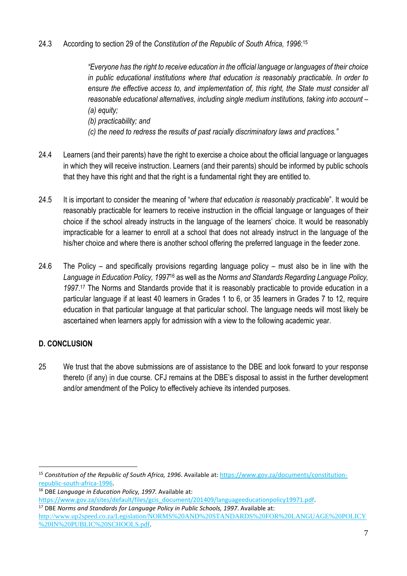24.3 According to section 29 of the *Constitution of the Republic of South Africa, 1996*: 15

*"Everyone has the right to receive education in the official language or languages of their choice in public educational institutions where that education is reasonably practicable. In order to ensure the effective access to, and implementation of, this right, the State must consider all reasonable educational alternatives, including single medium institutions, taking into account – (a) equity;*

- *(b) practicability; and*
- *(c) the need to redress the results of past racially discriminatory laws and practices."*
- 24.4 Learners (and their parents) have the right to exercise a choice about the official language or languages in which they will receive instruction. Learners (and their parents) should be informed by public schools that they have this right and that the right is a fundamental right they are entitled to.
- 24.5 It is important to consider the meaning of "*where that education is reasonably practicable*". It would be reasonably practicable for learners to receive instruction in the official language or languages of their choice if the school already instructs in the language of the learners' choice. It would be reasonably impracticable for a learner to enroll at a school that does not already instruct in the language of the his/her choice and where there is another school offering the preferred language in the feeder zone.
- 24.6 The Policy and specifically provisions regarding language policy must also be in line with the *Language in Education Policy, 1997*<sup>16</sup> as well as the *Norms and Standards Regarding Language Policy, 1997*. <sup>17</sup> The Norms and Standards provide that it is reasonably practicable to provide education in a particular language if at least 40 learners in Grades 1 to 6, or 35 learners in Grades 7 to 12, require education in that particular language at that particular school. The language needs will most likely be ascertained when learners apply for admission with a view to the following academic year.

#### **D. CONCLUSION**

25 We trust that the above submissions are of assistance to the DBE and look forward to your response thereto (if any) in due course. CFJ remains at the DBE's disposal to assist in the further development and/or amendment of the Policy to effectively achieve its intended purposes.

<sup>16</sup> DBE *Language in Education Policy, 1997.* Available at:

<sup>15</sup> *Constitution of the Republic of South Africa, 1996*. Available at: [https://www.gov.za/documents/constitution](https://www.gov.za/documents/constitution-republic-south-africa-1996)[republic-south-africa-1996.](https://www.gov.za/documents/constitution-republic-south-africa-1996)

[https://www.gov.za/sites/default/files/gcis\\_document/201409/languageeducationpolicy19971.pdf.](https://www.gov.za/sites/default/files/gcis_document/201409/languageeducationpolicy19971.pdf)

<sup>17</sup> DBE *Norms and Standards for Language Policy in Public Schools, 1997*. Available at:

[http://www.up2speed.co.za/Legislation/NORMS%20AND%20STANDARDS%20FOR%20LANGUAGE%20POLICY](http://www.up2speed.co.za/Legislation/NORMS%20AND%20STANDARDS%20FOR%20LANGUAGE%20POLICY%20IN%20PUBLIC%20SCHOOLS.pdf) [%20IN%20PUBLIC%20SCHOOLS.pdf.](http://www.up2speed.co.za/Legislation/NORMS%20AND%20STANDARDS%20FOR%20LANGUAGE%20POLICY%20IN%20PUBLIC%20SCHOOLS.pdf)